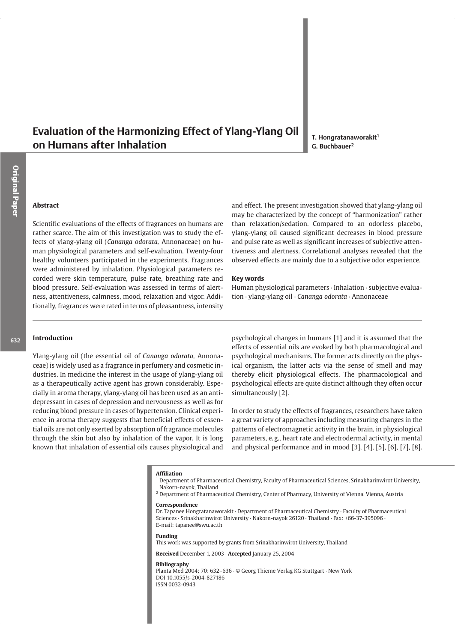# Evaluation of the Harmonizing Effect of Ylang-Ylang Oil on Humans after Inhalation

T. Hongratanaworakit<sup>1</sup> G. Buchbauer<sup>2</sup>

# **Abstract**

Scientific evaluations of the effects of fragrances on humans are rather scarce. The aim of this investigation was to study the effects of vlang-vlang oil (Cananga odorata, Annonaceae) on human physiological parameters and self-evaluation. Twenty-four healthy volunteers participated in the experiments. Fragrances were administered by inhalation. Physiological parameters recorded were skin temperature, pulse rate, breathing rate and blood pressure. Self-evaluation was assessed in terms of alertness, attentiveness, calmness, mood, relaxation and vigor. Additionally, fragrances were rated in terms of pleasantness, intensity and effect. The present investigation showed that ylang-ylang oil may be characterized by the concept of "harmonization" rather than relaxation/sedation. Compared to an odorless placebo, ylang-ylang oil caused significant decreases in blood pressure and pulse rate as well as significant increases of subjective attentiveness and alertness. Correlational analyses revealed that the observed effects are mainly due to a subjective odor experience.

#### **Kev words**

Human physiological parameters · Inhalation · subjective evaluation · ylang-ylang oil · Cananga odorata · Annonaceae

#### Introduction

Ylang-ylang oil (the essential oil of Cananga odorata, Annonaceae) is widely used as a fragrance in perfumery and cosmetic industries. In medicine the interest in the usage of ylang-ylang oil as a therapeutically active agent has grown considerably. Especially in aroma therapy, ylang-ylang oil has been used as an antidepressant in cases of depression and nervousness as well as for reducing blood pressure in cases of hypertension. Clinical experience in aroma therapy suggests that beneficial effects of essential oils are not only exerted by absorption of fragrance molecules through the skin but also by inhalation of the vapor. It is long known that inhalation of essential oils causes physiological and psychological changes in humans [1] and it is assumed that the effects of essential oils are evoked by both pharmacological and psychological mechanisms. The former acts directly on the physical organism, the latter acts via the sense of smell and may thereby elicit physiological effects. The pharmacological and psychological effects are quite distinct although they often occur simultaneously [2].

In order to study the effects of fragrances, researchers have taken a great variety of approaches including measuring changes in the patterns of electromagnetic activity in the brain, in physiological parameters, e.g., heart rate and electrodermal activity, in mental and physical performance and in mood  $[3]$ ,  $[4]$ ,  $[5]$ ,  $[6]$ ,  $[7]$ ,  $[8]$ .

#### **Affiliation**

- <sup>1</sup> Department of Pharmaceutical Chemistry, Faculty of Pharmaceutical Sciences, Srinakharinwirot University, Nakorn-nayok, Thailand
- <sup>2</sup> Department of Pharmaceutical Chemistry, Center of Pharmacy, University of Vienna, Vienna, Austria

#### Correspondence

Dr. Tapanee Hongratanaworakit · Department of Pharmaceutical Chemistry · Faculty of Pharmaceutical Sciences · Srinakharinwirot University · Nakorn-nayok 26120 · Thailand · Fax: +66-37-395096 · E-mail: tapanee@swu.ac.th

#### Funding

This work was supported by grants from Srinakharinwirot University, Thailand

Received December 1, 2003 · Accepted January 25, 2004

#### **Bibliography**

Planta Med 2004; 70: 632-636 · © Georg Thieme Verlag KG Stuttgart · New York DOI 10.1055/s-2004-827186 ISSN 0032-0943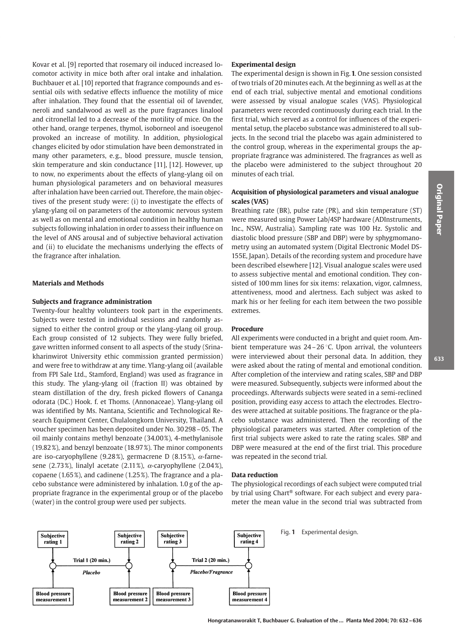Kovar et al. [9] reported that rosemary oil induced increased locomotor activity in mice both after oral intake and inhalation. Buchbauer et al. [10] reported that fragrance compounds and essential oils with sedative effects influence the motility of mice after inhalation. They found that the essential oil of lavender, neroli and sandalwood as well as the pure fragrances linalool and citronellal led to a decrease of the motility of mice. On the other hand, orange terpenes, thymol, isoborneol and isoeugenol provoked an increase of motility. In addition, physiological changes elicited by odor stimulation have been demonstrated in many other parameters, e.g., blood pressure, muscle tension, skin temperature and skin conductance [11], [12]. However, up to now, no experiments about the effects of ylang-ylang oil on human physiological parameters and on behavioral measures after inhalation have been carried out. Therefore, the main objectives of the present study were: (i) to investigate the effects of ylang-ylang oil on parameters of the autonomic nervous system as well as on mental and emotional condition in healthy human subjects following inhalation in order to assess their influence on the level of ANS arousal and of subjective behavioral activation and (ii) to elucidate the mechanisms underlying the effects of the fragrance after inhalation.

### **Materials and Methods**

#### Subjects and fragrance administration

Twenty-four healthy volunteers took part in the experiments. Subjects were tested in individual sessions and randomly assigned to either the control group or the ylang-ylang oil group. Each group consisted of 12 subjects. They were fully briefed, gave written informed consent to all aspects of the study (Srinakharinwirot University ethic commission granted permission) and were free to withdraw at any time. Ylang-ylang oil (available from FPI Sale Ltd., Stamford, England) was used as fragrance in this study. The ylang-ylang oil (fraction II) was obtained by steam distillation of the dry, fresh picked flowers of Cananga odorata (DC.) Hook. f. et Thoms. (Annonaceae). Ylang-ylang oil was identified by Ms. Nantana, Scientific and Technological Research Equipment Center, Chulalongkorn University, Thailand. A voucher specimen has been deposited under No. 30298 - 05. The oil mainly contains methyl benzoate (34.00%), 4-methylanisole (19.82%), and benzyl benzoate (18.97%). The minor components are iso-caryophyllene (9.28%), germacrene D (8.15%),  $\alpha$ -farnesene (2.73%), linalyl acetate (2.11%),  $\alpha$ -caryophyllene (2.04%), copaene (1.65%), and cadinene (1.25%). The fragrance and a placebo substance were administered by inhalation. 1.0 g of the appropriate fragrance in the experimental group or of the placebo (water) in the control group were used per subjects.

#### **Experimental design**

The experimental design is shown in Fig. 1. One session consisted of two trials of 20 minutes each. At the beginning as well as at the end of each trial, subjective mental and emotional conditions were assessed by visual analogue scales (VAS). Physiological parameters were recorded continuously during each trial. In the first trial, which served as a control for influences of the experimental setup, the placebo substance was administered to all subjects. In the second trial the placebo was again administered to the control group, whereas in the experimental groups the appropriate fragrance was administered. The fragrances as well as the placebo were administered to the subject throughout 20 minutes of each trial.

# Acquisition of physiological parameters and visual analogue scales (VAS)

Breathing rate (BR), pulse rate (PR), and skin temperature (ST) were measured using Power Lab/4SP hardware (ADInstruments, Inc., NSW, Australia). Sampling rate was 100 Hz. Systolic and diastolic blood pressure (SBP and DBP) were by sphygmomanometry using an automated system (Digital Electronic Model DS-155E, Japan). Details of the recording system and procedure have been described elsewhere [12]. Visual analogue scales were used to assess subjective mental and emotional condition. They consisted of 100 mm lines for six items: relaxation, vigor, calmness, attentiveness, mood and alertness. Each subject was asked to mark his or her feeling for each item between the two possible extremes.

# Procedure

All experiments were conducted in a bright and quiet room. Ambient temperature was  $24-26$  °C. Upon arrival, the volunteers were interviewed about their personal data. In addition, they were asked about the rating of mental and emotional condition. After completion of the interview and rating scales. SBP and DBP were measured. Subsequently, subjects were informed about the proceedings. Afterwards subjects were seated in a semi-reclined position, providing easy access to attach the electrodes. Electrodes were attached at suitable positions. The fragrance or the placebo substance was administered. Then the recording of the physiological parameters was started. After completion of the first trial subjects were asked to rate the rating scales. SBP and DBP were measured at the end of the first trial. This procedure was repeated in the second trial.

#### **Data reduction**

The physiological recordings of each subject were computed trial by trial using Chart® software. For each subject and every parameter the mean value in the second trial was subtracted from

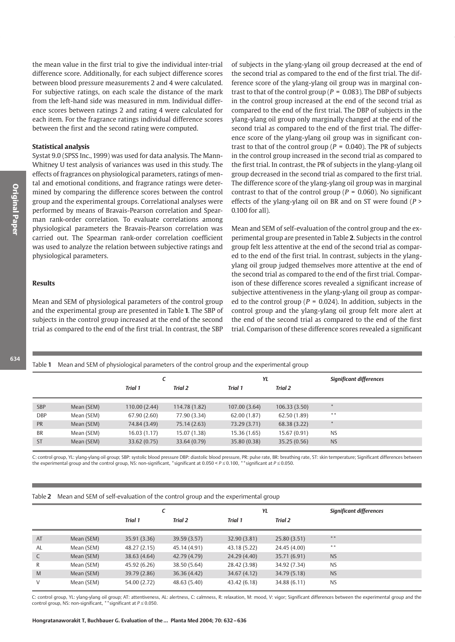the mean value in the first trial to give the individual inter-trial difference score. Additionally, for each subject difference scores between blood pressure measurements 2 and 4 were calculated. For subjective ratings, on each scale the distance of the mark from the left-hand side was measured in mm. Individual difference scores between ratings 2 and rating 4 were calculated for each item. For the fragrance ratings individual difference scores between the first and the second rating were computed.

#### **Statistical analysis**

Systat 9.0 (SPSS Inc., 1999) was used for data analysis. The Mann-Whitney U test analysis of variances was used in this study. The effects of fragrances on physiological parameters, ratings of mental and emotional conditions, and fragrance ratings were determined by comparing the difference scores between the control group and the experimental groups. Correlational analyses were performed by means of Bravais-Pearson correlation and Spearman rank-order correlation. To evaluate correlations among physiological parameters the Bravais-Pearson correlation was carried out. The Spearman rank-order correlation coefficient was used to analyze the relation between subjective ratings and physiological parameters.

## **Results**

Mean and SEM of physiological parameters of the control group and the experimental group are presented in Table 1. The SBP of subjects in the control group increased at the end of the second trial as compared to the end of the first trial. In contrast, the SBP of subjects in the vlang-vlang oil group decreased at the end of the second trial as compared to the end of the first trial. The difference score of the ylang-ylang oil group was in marginal contrast to that of the control group ( $P = 0.083$ ). The DBP of subjects in the control group increased at the end of the second trial as compared to the end of the first trial. The DBP of subjects in the ylang-ylang oil group only marginally changed at the end of the second trial as compared to the end of the first trial. The difference score of the ylang-ylang oil group was in significant contrast to that of the control group ( $P = 0.040$ ). The PR of subjects in the control group increased in the second trial as compared to the first trial. In contrast, the PR of subjects in the ylang-ylang oil group decreased in the second trial as compared to the first trial. The difference score of the ylang-ylang oil group was in marginal contrast to that of the control group ( $P = 0.060$ ). No significant effects of the ylang-ylang oil on BR and on ST were found ( $P >$ 0.100 for all).

Mean and SEM of self-evaluation of the control group and the experimental group are presented in Table 2. Subjects in the control group felt less attentive at the end of the second trial as compared to the end of the first trial. In contrast, subjects in the ylangylang oil group judged themselves more attentive at the end of the second trial as compared to the end of the first trial. Comparison of these difference scores revealed a significant increase of subjective attentiveness in the ylang-ylang oil group as compared to the control group ( $P = 0.024$ ). In addition, subjects in the control group and the ylang-ylang oil group felt more alert at the end of the second trial as compared to the end of the first trial. Comparison of these difference scores revealed a significant

|            |            | C                         |               | YL                        |              | <b>Significant differences</b> |
|------------|------------|---------------------------|---------------|---------------------------|--------------|--------------------------------|
|            |            | <b>Trial 1</b><br>Trial 2 |               | <b>Trial 1</b><br>Trial 2 |              |                                |
|            |            |                           |               |                           |              |                                |
| <b>SBP</b> | Mean (SEM) | 110.00 (2.44)             | 114.78 (1.82) | 107.00 (3.64)             | 106.33(3.50) | $\frac{1}{2}$                  |
| <b>DBP</b> | Mean (SEM) | 67.90 (2.60)              | 77.90 (3.34)  | 62.00 (1.87)              | 62.50 (1.89) | **                             |
| <b>PR</b>  | Mean (SEM) | 74.84 (3.49)              | 75.14 (2.63)  | 73.29 (3.71)              | 68.38 (3.22) | $\frac{1}{2}$                  |
| <b>BR</b>  | Mean (SEM) | 16.03(1.17)               | 15.07 (1.38)  | 15.36 (1.65)              | 15.67 (0.91) | <b>NS</b>                      |
| <b>ST</b>  | Mean (SEM) | 33.62 (0.75)              | 33.64 (0.79)  | 35.80 (0.38)              | 35.25 (0.56) | <b>NS</b>                      |
|            |            |                           |               |                           |              |                                |

C: control group, YL: ylang-ylang oil group; SBP: systolic blood pressure DBP: diastolic blood pressure, PR: pulse rate, BR: breathing rate, ST: skin temperature; Significant differences between the experimental group and the control group, NS: non-significant, \*significant at 0.050 <  $P \le 0.100$ , \*\*significant at  $P \le 0.050$ .

|  | Table 2 Mean and SEM of self-evaluation of the control group and the experimental group |  |  |  |
|--|-----------------------------------------------------------------------------------------|--|--|--|
|  |                                                                                         |  |  |  |

Table 1 Mean and SEM of physiological parameters of the control group and the experimental group

|    |            |                | c            |                | YL           | <b>Significant differences</b> |
|----|------------|----------------|--------------|----------------|--------------|--------------------------------|
|    |            | <b>Trial 1</b> | Trial 2      | <b>Trial 1</b> | Trial 2      |                                |
|    |            |                |              |                |              |                                |
| AT | Mean (SEM) | 35.91 (3.36)   | 39.59 (3.57) | 32.90 (3.81)   | 25.80(3.51)  | $\ast$ $\ast$                  |
| AL | Mean (SEM) | 48.27 (2.15)   | 45.14 (4.91) | 43.18 (5.22)   | 24.45 (4.00) | $* *$                          |
| C  | Mean (SEM) | 38.63 (4.64)   | 42.79 (4.79) | 24.29 (4.40)   | 35.71 (6.91) | <b>NS</b>                      |
| R  | Mean (SEM) | 45.92 (6.26)   | 38.50 (5.64) | 28.42 (3.98)   | 34.92 (7.34) | <b>NS</b>                      |
| M  | Mean (SEM) | 39.79 (2.86)   | 36.36 (4.42) | 34.67 (4.12)   | 34.79 (5.18) | <b>NS</b>                      |
| V  | Mean (SEM) | 54.00 (2.72)   | 48.63 (5.40) | 43.42 (6.18)   | 34.88 (6.11) | <b>NS</b>                      |

C: control group, YL: ylang-ylang oil group; AT: attentiveness, AL: alertness, C: calmness, R: relaxation, M: mood, V: vigor; Significant differences between the experimental group and the control group, NS: non-significant, \*\*significant at  $P \le 0.050$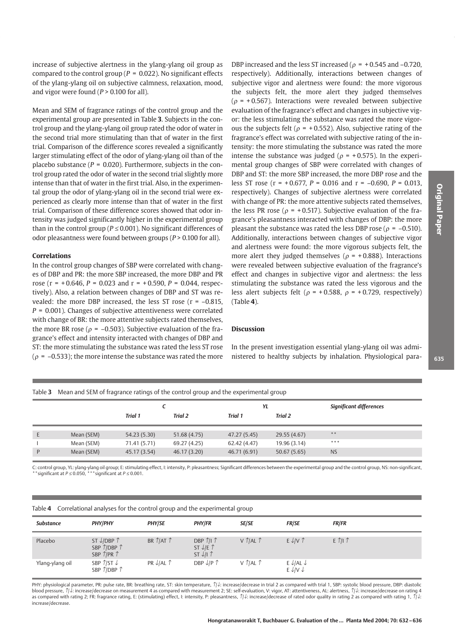increase of subjective alertness in the vlang-vlang oil group as compared to the control group ( $P = 0.022$ ). No significant effects of the ylang-ylang oil on subjective calmness, relaxation, mood, and vigor were found ( $P > 0.100$  for all).

Mean and SEM of fragrance ratings of the control group and the experimental group are presented in Table 3. Subjects in the control group and the ylang-ylang oil group rated the odor of water in the second trial more stimulating than that of water in the first trial. Comparison of the difference scores revealed a significantly larger stimulating effect of the odor of ylang-ylang oil than of the placebo substance ( $P = 0.020$ ). Furthermore, subjects in the control group rated the odor of water in the second trial slightly more intense than that of water in the first trial. Also, in the experimental group the odor of ylang-ylang oil in the second trial were experienced as clearly more intense than that of water in the first trial. Comparison of these difference scores showed that odor intensity was judged significantly higher in the experimental group than in the control group ( $P \le 0.001$ ). No significant differences of odor pleasantness were found between groups ( $P > 0.100$  for all).

#### **Correlations**

In the control group changes of SBP were correlated with changes of DBP and PR: the more SBP increased, the more DBP and PR rose ( $r = +0.646$ ,  $P = 0.023$  and  $r = +0.590$ ,  $P = 0.044$ , respectively). Also, a relation between changes of DBP and ST was revealed: the more DBP increased, the less ST rose  $(r = -0.815,$  $P = 0.001$ ). Changes of subjective attentiveness were correlated with change of BR: the more attentive subjects rated themselves, the more BR rose ( $\rho$  = -0.503). Subjective evaluation of the fragrance's effect and intensity interacted with changes of DBP and ST: the more stimulating the substance was rated the less ST rose ( $\rho$  = -0.533); the more intense the substance was rated the more

DBP increased and the less ST increased ( $\rho = +0.545$  and -0.720, respectively). Additionally, interactions between changes of subjective vigor and alertness were found: the more vigorous the subjects felt, the more alert they judged themselves ( $\rho$  = +0.567). Interactions were revealed between subjective evaluation of the fragrance's effect and changes in subjective vigor: the less stimulating the substance was rated the more vigorous the subjects felt ( $\rho$  = +0.552). Also, subjective rating of the fragrance's effect was correlated with subjective rating of the intensity: the more stimulating the substance was rated the more intense the substance was judged ( $\rho$  = +0.575). In the experimental group changes of SBP were correlated with changes of DBP and ST: the more SBP increased, the more DBP rose and the less ST rose ( $r = +0.677$ ,  $P = 0.016$  and  $r = -0.690$ ,  $P = 0.013$ , respectively). Changes of subjective alertness were correlated with change of PR: the more attentive subjects rated themselves. the less PR rose ( $\rho$  = +0.517). Subjective evaluation of the fragrance's pleasantness interacted with changes of DBP: the more pleasant the substance was rated the less DBP rose ( $\rho = -0.510$ ). Additionally, interactions between changes of subjective vigor and alertness were found: the more vigorous subjects felt, the more alert they judged themselves ( $\rho$  = +0.888). Interactions were revealed between subjective evaluation of the fragrance's effect and changes in subjective vigor and alertness: the less stimulating the substance was rated the less vigorous and the less alert subjects felt ( $\rho$  = +0.588,  $\rho$  = +0.729, respectively)  $(Table 4)$ .

# **Discussion**

In the present investigation essential ylang-ylang oil was administered to healthy subjects by inhalation. Physiological para-

Table 3 Mean and SEM of fragrance ratings of the control group and the experimental group

|   |            |                |              | YL             |              | <b>Significant differences</b> |
|---|------------|----------------|--------------|----------------|--------------|--------------------------------|
|   |            | <b>Trial 1</b> | Trial 2      | <b>Trial 1</b> | Trial 2      |                                |
|   |            |                |              |                |              |                                |
|   | Mean (SEM) | 54.23 (5.30)   | 51.68 (4.75) | 47.27 (5.45)   | 29.55 (4.67) | **                             |
|   | Mean (SEM) | 71.41 (5.71)   | 69.27 (4.25) | 62.42 (4.47)   | 19.96 (3.14) | ***                            |
| P | Mean (SEM) | 45.17 (3.54)   | 46.17 (3.20) | 46.71 (6.91)   | 50.67(5.65)  | <b>NS</b>                      |

C: control group, YL: ylang-ylang oil group; E: stimulating effect, I: intensity, P: pleasantness; Significant differences between the experimental group and the control group, NS: non-significant, \*\*significant at  $P \le 0$ 

|  |  |  |  | Table 4 Correlational analyses for the control group and the experimental group |
|--|--|--|--|---------------------------------------------------------------------------------|
|--|--|--|--|---------------------------------------------------------------------------------|

| <b>Substance</b> | <b>PHY/PHY</b>                                                                                                    | <b>PHY/SE</b>                  | <b>PHY/FR</b>                                                  | <b>SE/SE</b>                | <b>FR/SE</b>                                    | <b>FR/FR</b>   |
|------------------|-------------------------------------------------------------------------------------------------------------------|--------------------------------|----------------------------------------------------------------|-----------------------------|-------------------------------------------------|----------------|
| Placebo          | ST $\downarrow$ /DBP $\uparrow$<br>SBP $\hat{\mathcal{L}}$ (DBP $\hat{\mathcal{L}}$<br>SBP $\hat{T}$ PR $\hat{T}$ | BR $\hat{T}$ /AT $\hat{T}$     | DBP $\hat{I}/I \hat{I}$<br>ST $L/E \hat{T}$<br>$ST \sqrt{11}T$ | $V$ $\hat{I}$ /AL $\hat{I}$ | E V/V                                           | $E \n1    \n1$ |
| Ylang-ylang oil  | SBP $\frac{\gamma}{5}$ T $\sqrt{2}$<br>SBP $\hat{\mathcal{U}}$ DBP $\hat{\mathcal{V}}$                            | PR $\downarrow$ /AL $\uparrow$ | DBP $L/P \uparrow$                                             | $V$ $\hat{I}$ /AL $\hat{I}$ | $E \sqrt{AL}$<br>$E \downarrow$ /V $\downarrow$ |                |

PHY: physiological parameter, PR: pulse rate, BR: breathing rate, ST: skin temperature,  $\hat{I}/\hat{L}$ : increase/decrease in trial 2 as compared with trial 1, SBP: systolic blood pressure, DBP: diastolic blood pressure. 1 ↓ increase/decrease on measurement 4 as compared with measurement 2: SE: self-evaluation. V: vigor. AT: attentiveness. AL: alertness. 1 ↓ increase/decrease on rating 4 as compared with rating 2; FR: fragrance rating, E: (stimulating) effect, I: intensity, P: pleasantness,  $\eta$  . increase/decrease of rated odor quality in rating 2 as compared with rating 1,  $\eta$ . increase/decrease.